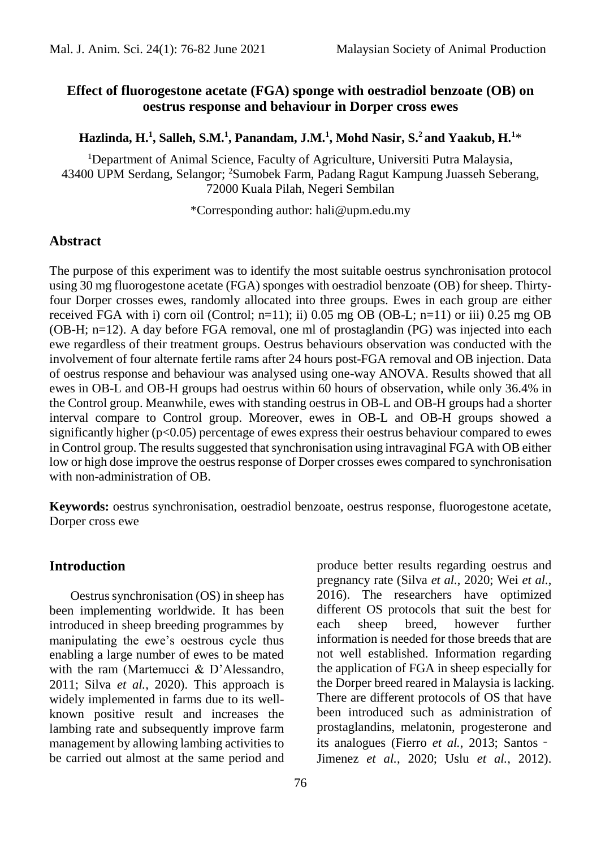### **Effect of fluorogestone acetate (FGA) sponge with oestradiol benzoate (OB) on oestrus response and behaviour in Dorper cross ewes**

#### **Hazlinda, H.<sup>1</sup> , Salleh, S.M.<sup>1</sup> , Panandam, J.M.<sup>1</sup> , Mohd Nasir, S.<sup>2</sup> and Yaakub, H.<sup>1</sup>**\*

<sup>1</sup>Department of Animal Science, Faculty of Agriculture, Universiti Putra Malaysia, 43400 UPM Serdang, Selangor; <sup>2</sup>Sumobek Farm, Padang Ragut Kampung Juasseh Seberang, 72000 Kuala Pilah, Negeri Sembilan

\*Corresponding author: hali@upm.edu.my

### **Abstract**

The purpose of this experiment was to identify the most suitable oestrus synchronisation protocol using 30 mg fluorogestone acetate (FGA) sponges with oestradiol benzoate (OB) for sheep. Thirtyfour Dorper crosses ewes, randomly allocated into three groups. Ewes in each group are either received FGA with i) corn oil (Control;  $n=11$ ); ii) 0.05 mg OB (OB-L;  $n=11$ ) or iii) 0.25 mg OB (OB-H; n=12). A day before FGA removal, one ml of prostaglandin (PG) was injected into each ewe regardless of their treatment groups. Oestrus behaviours observation was conducted with the involvement of four alternate fertile rams after 24 hours post-FGA removal and OB injection. Data of oestrus response and behaviour was analysed using one-way ANOVA. Results showed that all ewes in OB-L and OB-H groups had oestrus within 60 hours of observation, while only 36.4% in the Control group. Meanwhile, ewes with standing oestrus in OB-L and OB-H groups had a shorter interval compare to Control group. Moreover, ewes in OB-L and OB-H groups showed a significantly higher  $(p<0.05)$  percentage of ewes express their oestrus behaviour compared to ewes in Control group. The results suggested that synchronisation using intravaginal FGA with OB either low or high dose improve the oestrus response of Dorper crosses ewes compared to synchronisation with non-administration of OB.

**Keywords:** oestrus synchronisation, oestradiol benzoate, oestrus response, fluorogestone acetate, Dorper cross ewe

#### **Introduction**

Oestrus synchronisation (OS) in sheep has been implementing worldwide. It has been introduced in sheep breeding programmes by manipulating the ewe's oestrous cycle thus enabling a large number of ewes to be mated with the ram (Martemucci & D'Alessandro, 2011; Silva *et al.*, 2020). This approach is widely implemented in farms due to its wellknown positive result and increases the lambing rate and subsequently improve farm management by allowing lambing activities to be carried out almost at the same period and

information is needed for those breeds that are not well established. Information regarding the application of FGA in sheep especially for the Dorper breed reared in Malaysia is lacking. There are different protocols of OS that have been introduced such as administration of prostaglandins, melatonin, progesterone and its analogues (Fierro *et al.*, 2013; Santos -Jimenez *et al.*, 2020; Uslu *et al.*, 2012).

produce better results regarding oestrus and pregnancy rate (Silva *et al.*, 2020; Wei *et al.*, 2016). The researchers have optimized different OS protocols that suit the best for each sheep breed, however further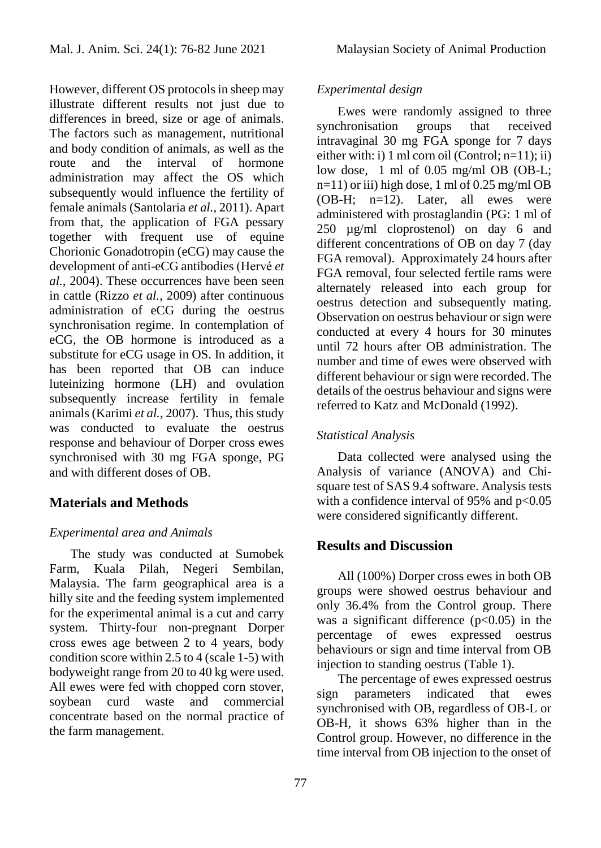However, different OS protocols in sheep may illustrate different results not just due to differences in breed, size or age of animals. The factors such as management, nutritional and body condition of animals, as well as the route and the interval of hormone administration may affect the OS which subsequently would influence the fertility of female animals (Santolaria *et al.*, 2011). Apart from that, the application of FGA pessary together with frequent use of equine Chorionic Gonadotropin (eCG) may cause the development of anti-eCG antibodies (Hervé *et al.*, 2004). These occurrences have been seen in cattle (Rizzo *et al.*, 2009) after continuous administration of eCG during the oestrus synchronisation regime. In contemplation of eCG, the OB hormone is introduced as a substitute for eCG usage in OS. In addition, it has been reported that OB can induce luteinizing hormone (LH) and ovulation subsequently increase fertility in female animals (Karimi *et al.*, 2007). Thus, this study was conducted to evaluate the oestrus response and behaviour of Dorper cross ewes synchronised with 30 mg FGA sponge, PG and with different doses of OB.

## **Materials and Methods**

### *Experimental area and Animals*

The study was conducted at Sumobek Farm, Kuala Pilah, Negeri Sembilan, Malaysia. The farm geographical area is a hilly site and the feeding system implemented for the experimental animal is a cut and carry system. Thirty-four non-pregnant Dorper cross ewes age between 2 to 4 years, body condition score within 2.5 to 4 (scale 1-5) with bodyweight range from 20 to 40 kg were used. All ewes were fed with chopped corn stover, soybean curd waste and commercial concentrate based on the normal practice of the farm management.

## *Experimental design*

Ewes were randomly assigned to three synchronisation groups that received intravaginal 30 mg FGA sponge for 7 days either with: i) 1 ml corn oil (Control;  $n=11$ ); ii) low dose, 1 ml of 0.05 mg/ml OB (OB-L; n=11) or iii) high dose, 1 ml of 0.25 mg/ml OB (OB-H; n=12). Later, all ewes were administered with prostaglandin (PG: 1 ml of 250 µg/ml cloprostenol) on day 6 and different concentrations of OB on day 7 (day FGA removal). Approximately 24 hours after FGA removal, four selected fertile rams were alternately released into each group for oestrus detection and subsequently mating. Observation on oestrus behaviour or sign were conducted at every 4 hours for 30 minutes until 72 hours after OB administration. The number and time of ewes were observed with different behaviour or sign were recorded. The details of the oestrus behaviour and signs were referred to Katz and McDonald (1992).

### *Statistical Analysis*

Data collected were analysed using the Analysis of variance (ANOVA) and Chisquare test of SAS 9.4 software. Analysis tests with a confidence interval of 95% and  $p<0.05$ were considered significantly different.

### **Results and Discussion**

All (100%) Dorper cross ewes in both OB groups were showed oestrus behaviour and only 36.4% from the Control group. There was a significant difference  $(p<0.05)$  in the percentage of ewes expressed oestrus behaviours or sign and time interval from OB injection to standing oestrus (Table 1).

The percentage of ewes expressed oestrus sign parameters indicated that ewes synchronised with OB, regardless of OB-L or OB-H, it shows 63% higher than in the Control group. However, no difference in the time interval from OB injection to the onset of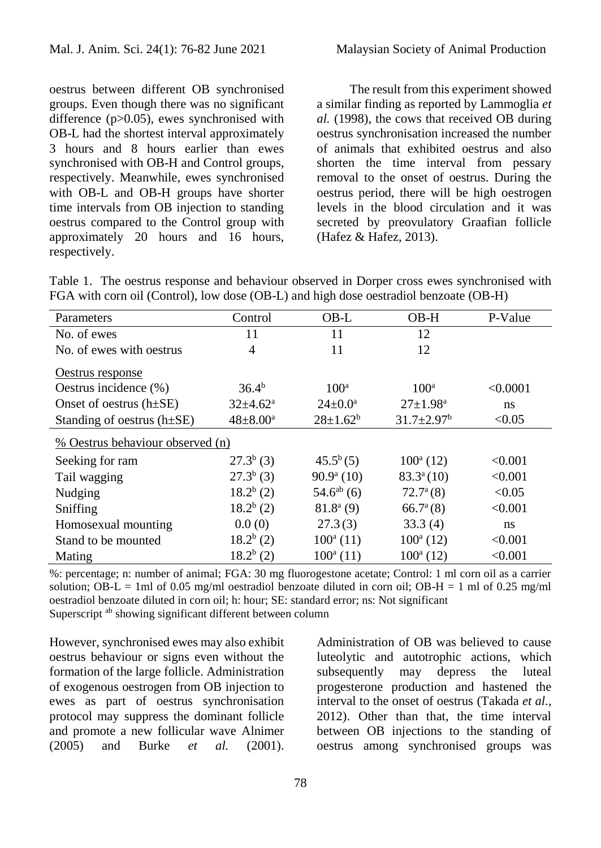oestrus between different OB synchronised groups. Even though there was no significant difference (p>0.05), ewes synchronised with OB-L had the shortest interval approximately 3 hours and 8 hours earlier than ewes synchronised with OB-H and Control groups, respectively. Meanwhile, ewes synchronised with OB-L and OB-H groups have shorter time intervals from OB injection to standing oestrus compared to the Control group with approximately 20 hours and 16 hours, respectively.

The result from this experiment showed a similar finding as reported by Lammoglia *et al.* (1998), the cows that received OB during oestrus synchronisation increased the number of animals that exhibited oestrus and also shorten the time interval from pessary removal to the onset of oestrus. During the oestrus period, there will be high oestrogen levels in the blood circulation and it was secreted by preovulatory Graafian follicle (Hafez & Hafez, 2013).

Table 1. The oestrus response and behaviour observed in Dorper cross ewes synchronised with FGA with corn oil (Control), low dose (OB-L) and high dose oestradiol benzoate (OB-H)

| Parameters                       | Control                    | OB-L                 | OB-H                         | P-Value  |
|----------------------------------|----------------------------|----------------------|------------------------------|----------|
| No. of ewes                      | 11                         | 11                   | 12                           |          |
| No. of ewes with oestrus         | 4                          | 11                   | 12                           |          |
| Oestrus response                 |                            |                      |                              |          |
| Oestrus incidence $(\% )$        | $36.4^{b}$                 | 100 <sup>a</sup>     | 100 <sup>a</sup>             | < 0.0001 |
| Onset of oestrus $(h\pm SE)$     | $32{\pm}4.62^{\mathrm{a}}$ | $24 \pm 0.0^{\circ}$ | $27 \pm 1.98^{\text{a}}$     | ns       |
| Standing of oestrus $(h\pm SE)$  | $48 \pm 8.00^a$            | $28 \pm 1.62^b$      | $31.7 \pm 2.97$ <sup>b</sup> | < 0.05   |
| % Oestrus behaviour observed (n) |                            |                      |                              |          |
| Seeking for ram                  | $27.3b$ (3)                | $45.5^{b}(5)$        | $100^a$ (12)                 | < 0.001  |
| Tail wagging                     | $27.3b$ (3)                | $90.9a$ (10)         | $83.3^{\circ}(10)$           | < 0.001  |
| Nudging                          | $18.2^b(2)$                | $54.6^{ab}$ (6)      | $72.7^{\rm a}(8)$            | < 0.05   |
| Sniffing                         | $18.2^b(2)$                | $81.8a$ (9)          | $66.7^{\mathrm{a}}(8)$       | < 0.001  |
| Homosexual mounting              | 0.0(0)                     | 27.3(3)              | 33.3(4)                      | ns       |
| Stand to be mounted              | $18.2^b(2)$                | $100^a$ (11)         | $100^a$ (12)                 | < 0.001  |
| Mating                           | $18.2^b(2)$                | $100^a$ (11)         | $100^a$ (12)                 | < 0.001  |

%: percentage; n: number of animal; FGA: 30 mg fluorogestone acetate; Control: 1 ml corn oil as a carrier solution; OB-L = 1ml of 0.05 mg/ml oestradiol benzoate diluted in corn oil; OB-H = 1 ml of 0.25 mg/ml oestradiol benzoate diluted in corn oil; h: hour; SE: standard error; ns: Not significant Superscript <sup>ab</sup> showing significant different between column

However, synchronised ewes may also exhibit oestrus behaviour or signs even without the formation of the large follicle. Administration of exogenous oestrogen from OB injection to ewes as part of oestrus synchronisation protocol may suppress the dominant follicle and promote a new follicular wave Alnimer (2005) and Burke *et al.* (2001). Administration of OB was believed to cause luteolytic and autotrophic actions, which subsequently may depress the luteal progesterone production and hastened the interval to the onset of oestrus (Takada *et al.*, 2012). Other than that, the time interval between OB injections to the standing of oestrus among synchronised groups was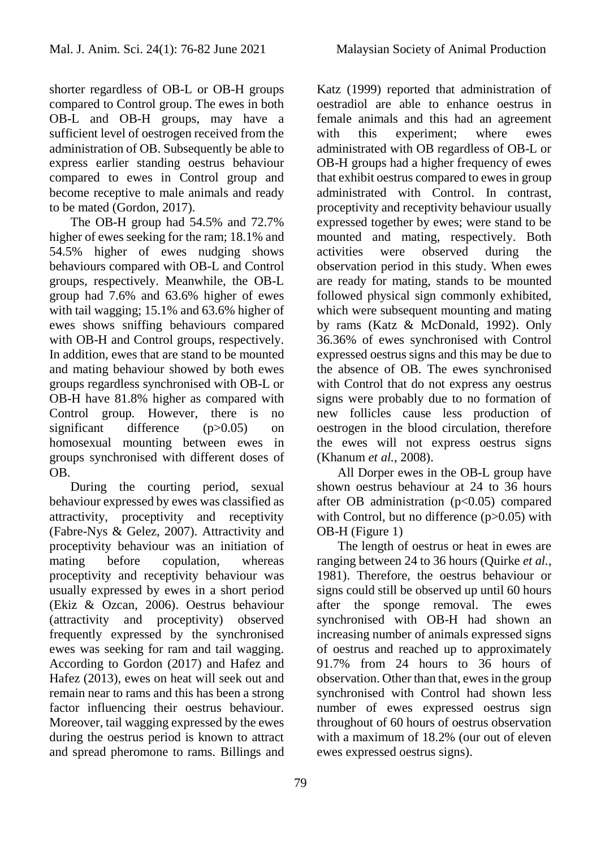shorter regardless of OB-L or OB-H groups compared to Control group. The ewes in both OB-L and OB-H groups, may have a sufficient level of oestrogen received from the administration of OB. Subsequently be able to express earlier standing oestrus behaviour compared to ewes in Control group and become receptive to male animals and ready to be mated (Gordon, 2017).

The OB-H group had 54.5% and 72.7% higher of ewes seeking for the ram; 18.1% and 54.5% higher of ewes nudging shows behaviours compared with OB-L and Control groups, respectively. Meanwhile, the OB-L group had 7.6% and 63.6% higher of ewes with tail wagging; 15.1% and 63.6% higher of ewes shows sniffing behaviours compared with OB-H and Control groups, respectively. In addition, ewes that are stand to be mounted and mating behaviour showed by both ewes groups regardless synchronised with OB-L or OB-H have 81.8% higher as compared with Control group. However, there is no significant difference (p>0.05) on homosexual mounting between ewes in groups synchronised with different doses of OB.

During the courting period, sexual behaviour expressed by ewes was classified as attractivity, proceptivity and receptivity (Fabre-Nys & Gelez, 2007). Attractivity and proceptivity behaviour was an initiation of mating before copulation, whereas proceptivity and receptivity behaviour was usually expressed by ewes in a short period (Ekiz & Ozcan, 2006). Oestrus behaviour (attractivity and proceptivity) observed frequently expressed by the synchronised ewes was seeking for ram and tail wagging. According to Gordon (2017) and Hafez and Hafez (2013), ewes on heat will seek out and remain near to rams and this has been a strong factor influencing their oestrus behaviour. Moreover, tail wagging expressed by the ewes during the oestrus period is known to attract and spread pheromone to rams. Billings and

Katz (1999) reported that administration of oestradiol are able to enhance oestrus in female animals and this had an agreement with this experiment; where ewes administrated with OB regardless of OB-L or OB-H groups had a higher frequency of ewes that exhibit oestrus compared to ewes in group administrated with Control. In contrast, proceptivity and receptivity behaviour usually expressed together by ewes; were stand to be mounted and mating, respectively. Both activities were observed during the observation period in this study. When ewes are ready for mating, stands to be mounted followed physical sign commonly exhibited, which were subsequent mounting and mating by rams (Katz & McDonald, 1992). Only 36.36% of ewes synchronised with Control expressed oestrus signs and this may be due to the absence of OB. The ewes synchronised with Control that do not express any oestrus signs were probably due to no formation of new follicles cause less production of oestrogen in the blood circulation, therefore the ewes will not express oestrus signs (Khanum *et al.*, 2008).

All Dorper ewes in the OB-L group have shown oestrus behaviour at 24 to 36 hours after OB administration  $(p<0.05)$  compared with Control, but no difference (p>0.05) with OB-H (Figure 1)

The length of oestrus or heat in ewes are ranging between 24 to 36 hours (Quirke *et al.*, 1981). Therefore, the oestrus behaviour or signs could still be observed up until 60 hours after the sponge removal. The ewes synchronised with OB-H had shown an increasing number of animals expressed signs of oestrus and reached up to approximately 91.7% from 24 hours to 36 hours of observation. Other than that, ewes in the group synchronised with Control had shown less number of ewes expressed oestrus sign throughout of 60 hours of oestrus observation with a maximum of 18.2% (our out of eleven ewes expressed oestrus signs).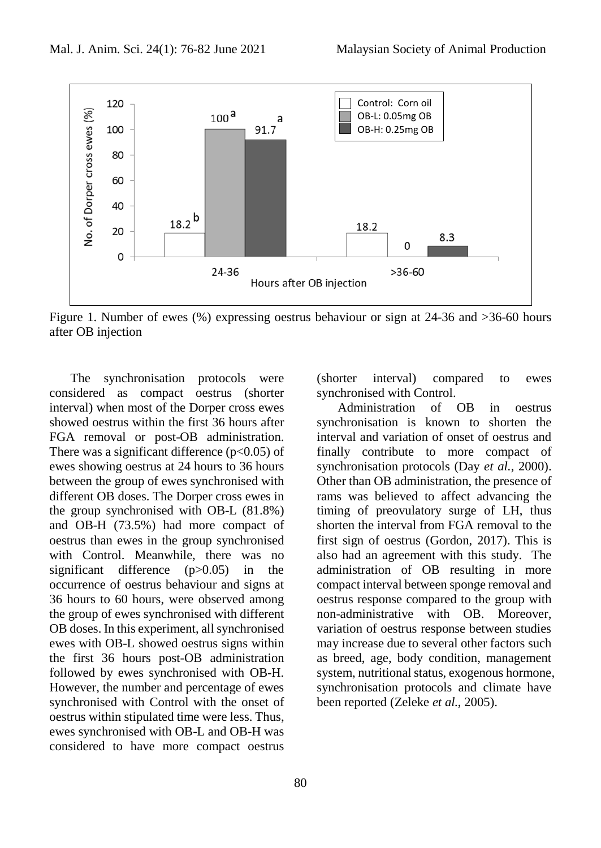

Figure 1. Number of ewes (%) expressing oestrus behaviour or sign at 24-36 and >36-60 hours after OB injection

The synchronisation protocols were considered as compact oestrus (shorter interval) when most of the Dorper cross ewes showed oestrus within the first 36 hours after FGA removal or post-OB administration. There was a significant difference ( $p<0.05$ ) of ewes showing oestrus at 24 hours to 36 hours between the group of ewes synchronised with different OB doses. The Dorper cross ewes in the group synchronised with OB-L (81.8%) and OB-H (73.5%) had more compact of oestrus than ewes in the group synchronised with Control. Meanwhile, there was no significant difference (p>0.05) in the occurrence of oestrus behaviour and signs at 36 hours to 60 hours, were observed among the group of ewes synchronised with different OB doses. In this experiment, all synchronised ewes with OB-L showed oestrus signs within the first 36 hours post-OB administration followed by ewes synchronised with OB-H. However, the number and percentage of ewes synchronised with Control with the onset of oestrus within stipulated time were less. Thus, ewes synchronised with OB-L and OB-H was considered to have more compact oestrus

80

(shorter interval) compared to ewes synchronised with Control.

Administration of OB in oestrus synchronisation is known to shorten the interval and variation of onset of oestrus and finally contribute to more compact of synchronisation protocols (Day *et al.*, 2000). Other than OB administration, the presence of rams was believed to affect advancing the timing of preovulatory surge of LH, thus shorten the interval from FGA removal to the first sign of oestrus (Gordon, 2017). This is also had an agreement with this study. The administration of OB resulting in more compact interval between sponge removal and oestrus response compared to the group with non-administrative with OB. Moreover, variation of oestrus response between studies may increase due to several other factors such as breed, age, body condition, management system, nutritional status, exogenous hormone, synchronisation protocols and climate have been reported (Zeleke *et al.*, 2005).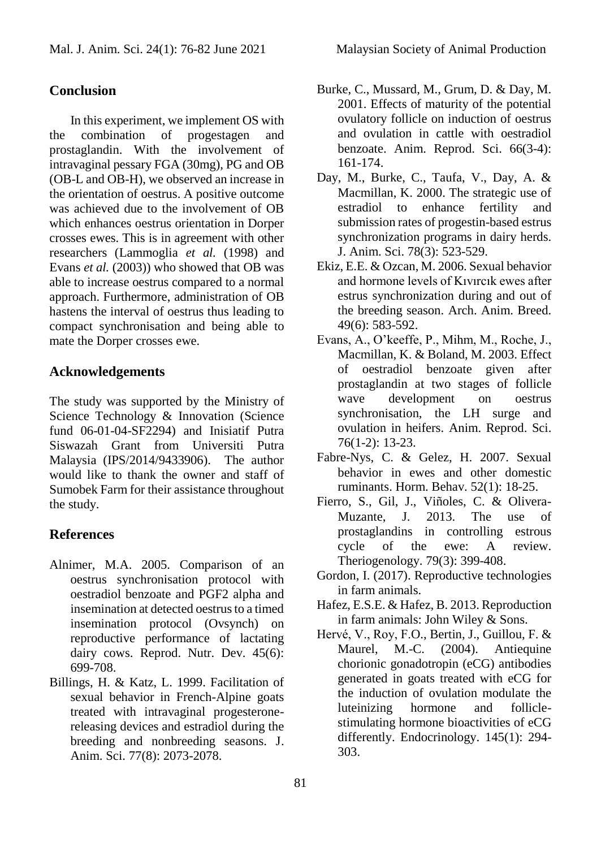# **Conclusion**

In this experiment, we implement OS with the combination of progestagen and prostaglandin. With the involvement of intravaginal pessary FGA (30mg), PG and OB (OB-L and OB-H), we observed an increase in the orientation of oestrus. A positive outcome was achieved due to the involvement of OB which enhances oestrus orientation in Dorper crosses ewes. This is in agreement with other researchers (Lammoglia *et al.* (1998) and Evans *et al.* (2003)) who showed that OB was able to increase oestrus compared to a normal approach. Furthermore, administration of OB hastens the interval of oestrus thus leading to compact synchronisation and being able to mate the Dorper crosses ewe.

## **Acknowledgements**

The study was supported by the Ministry of Science Technology & Innovation (Science fund 06-01-04-SF2294) and Inisiatif Putra Siswazah Grant from Universiti Putra Malaysia (IPS/2014/9433906). The author would like to thank the owner and staff of Sumobek Farm for their assistance throughout the study.

## **References**

- Alnimer, M.A. 2005. Comparison of an oestrus synchronisation protocol with oestradiol benzoate and PGF2 alpha and insemination at detected oestrus to a timed insemination protocol (Ovsynch) on reproductive performance of lactating dairy cows. Reprod. Nutr. Dev. 45(6): 699-708.
- Billings, H. & Katz, L. 1999. Facilitation of sexual behavior in French-Alpine goats treated with intravaginal progesteronereleasing devices and estradiol during the breeding and nonbreeding seasons. J. Anim. Sci. 77(8): 2073-2078.
- Burke, C., Mussard, M., Grum, D. & Day, M. 2001. Effects of maturity of the potential ovulatory follicle on induction of oestrus and ovulation in cattle with oestradiol benzoate. Anim. Reprod. Sci. 66(3-4): 161-174.
- Day, M., Burke, C., Taufa, V., Day, A. & Macmillan, K. 2000. The strategic use of estradiol to enhance fertility and submission rates of progestin-based estrus synchronization programs in dairy herds. J. Anim. Sci. 78(3): 523-529.
- Ekiz, E.E. & Ozcan, M. 2006. Sexual behavior and hormone levels of Kıvırcık ewes after estrus synchronization during and out of the breeding season. Arch. Anim. Breed. 49(6): 583-592.
- Evans, A., O'keeffe, P., Mihm, M., Roche, J., Macmillan, K. & Boland, M. 2003. Effect of oestradiol benzoate given after prostaglandin at two stages of follicle wave development on oestrus synchronisation, the LH surge and ovulation in heifers. Anim. Reprod. Sci. 76(1-2): 13-23.
- Fabre-Nys, C. & Gelez, H. 2007. Sexual behavior in ewes and other domestic ruminants. Horm. Behav. 52(1): 18-25.
- Fierro, S., Gil, J., Viñoles, C. & Olivera-Muzante, J. 2013. The use of prostaglandins in controlling estrous cycle of the ewe: A review. Theriogenology. 79(3): 399-408.
- Gordon, I. (2017). Reproductive technologies in farm animals.
- Hafez, E.S.E. & Hafez, B. 2013. Reproduction in farm animals: John Wiley & Sons.
- Hervé, V., Roy, F.O., Bertin, J., Guillou, F. & Maurel, M.-C. (2004). Antiequine chorionic gonadotropin (eCG) antibodies generated in goats treated with eCG for the induction of ovulation modulate the luteinizing hormone and folliclestimulating hormone bioactivities of eCG differently. Endocrinology. 145(1): 294- 303.